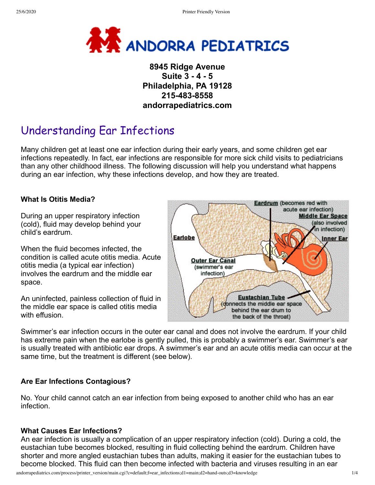

## **8945 Ridge Avenue Suite 3 - 4 - 5 Philadelphia, PA 19128 215-483-8558 andorrapediatrics.com**

# Understanding Ear Infections

Many children get at least one ear infection during their early years, and some children get ear infections repeatedly. In fact, ear infections are responsible for more sick child visits to pediatricians than any other childhood illness. The following discussion will help you understand what happens during an ear infection, why these infections develop, and how they are treated.

#### **What Is Otitis Media?**

During an upper respiratory infection (cold), fluid may develop behind your child's eardrum.

When the fluid becomes infected, the condition is called acute otitis media. Acute otitis media (a typical ear infection) involves the eardrum and the middle ear space.

An uninfected, painless collection of fluid in the middle ear space is called otitis media with effusion.



Swimmer's ear infection occurs in the outer ear canal and does not involve the eardrum. If your child has extreme pain when the earlobe is gently pulled, this is probably a swimmer's ear. Swimmer's ear is usually treated with antibiotic ear drops. A swimmer's ear and an acute otitis media can occur at the same time, but the treatment is different (see below).

#### **Are Ear Infections Contagious?**

No. Your child cannot catch an ear infection from being exposed to another child who has an ear infection.

#### **What Causes Ear Infections?**

An ear infection is usually a complication of an upper respiratory infection (cold). During a cold, the eustachian tube becomes blocked, resulting in fluid collecting behind the eardrum. Children have shorter and more angled eustachian tubes than adults, making it easier for the eustachian tubes to become blocked. This fluid can then become infected with bacteria and viruses resulting in an ear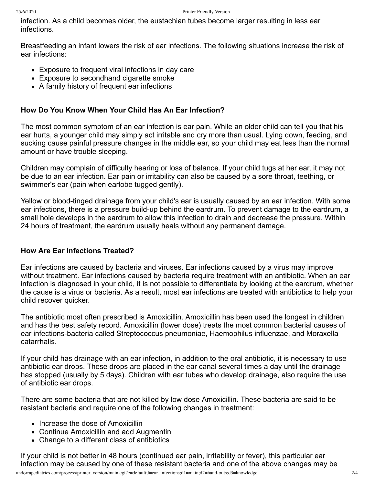infection. As a child becomes older, the eustachian tubes become larger resulting in less ear infections.

Breastfeeding an infant lowers the risk of ear infections. The following situations increase the risk of ear infections:

- Exposure to frequent viral infections in day care
- Exposure to secondhand cigarette smoke
- A family history of frequent ear infections

#### **How Do You Know When Your Child Has An Ear Infection?**

The most common symptom of an ear infection is ear pain. While an older child can tell you that his ear hurts, a younger child may simply act irritable and cry more than usual. Lying down, feeding, and sucking cause painful pressure changes in the middle ear, so your child may eat less than the normal amount or have trouble sleeping.

Children may complain of difficulty hearing or loss of balance. If your child tugs at her ear, it may not be due to an ear infection. Ear pain or irritability can also be caused by a sore throat, teething, or swimmer's ear (pain when earlobe tugged gently).

Yellow or blood-tinged drainage from your child's ear is usually caused by an ear infection. With some ear infections, there is a pressure build-up behind the eardrum. To prevent damage to the eardrum, a small hole develops in the eardrum to allow this infection to drain and decrease the pressure. Within 24 hours of treatment, the eardrum usually heals without any permanent damage.

#### **How Are Ear Infections Treated?**

Ear infections are caused by bacteria and viruses. Ear infections caused by a virus may improve without treatment. Ear infections caused by bacteria require treatment with an antibiotic. When an ear infection is diagnosed in your child, it is not possible to differentiate by looking at the eardrum, whether the cause is a virus or bacteria. As a result, most ear infections are treated with antibiotics to help your child recover quicker.

The antibiotic most often prescribed is Amoxicillin. Amoxicillin has been used the longest in children and has the best safety record. Amoxicillin (lower dose) treats the most common bacterial causes of ear infections-bacteria called Streptococcus pneumoniae, Haemophilus influenzae, and Moraxella catarrhalis.

If your child has drainage with an ear infection, in addition to the oral antibiotic, it is necessary to use antibiotic ear drops. These drops are placed in the ear canal several times a day until the drainage has stopped (usually by 5 days). Children with ear tubes who develop drainage, also require the use of antibiotic ear drops.

There are some bacteria that are not killed by low dose Amoxicillin. These bacteria are said to be resistant bacteria and require one of the following changes in treatment:

- Increase the dose of Amoxicillin
- Continue Amoxicillin and add Augmentin
- Change to a different class of antibiotics

If your child is not better in 48 hours (continued ear pain, irritability or fever), this particular ear infection may be caused by one of these resistant bacteria and one of the above changes may be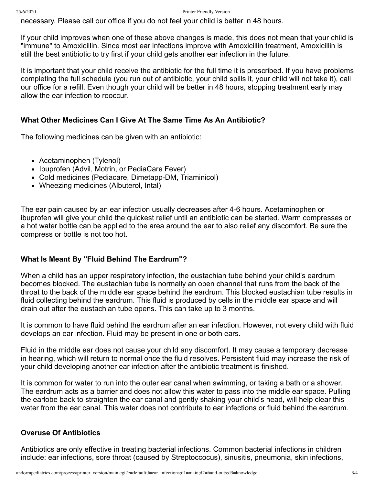necessary. Please call our office if you do not feel your child is better in 48 hours.

If your child improves when one of these above changes is made, this does not mean that your child is "immune" to Amoxicillin. Since most ear infections improve with Amoxicillin treatment, Amoxicillin is still the best antibiotic to try first if your child gets another ear infection in the future.

It is important that your child receive the antibiotic for the full time it is prescribed. If you have problems completing the full schedule (you run out of antibiotic, your child spills it, your child will not take it), call our office for a refill. Even though your child will be better in 48 hours, stopping treatment early may allow the ear infection to reoccur.

#### **What Other Medicines Can I Give At The Same Time As An Antibiotic?**

The following medicines can be given with an antibiotic:

- Acetaminophen (Tylenol)
- Ibuprofen (Advil, Motrin, or PediaCare Fever)
- Cold medicines (Pediacare, Dimetapp-DM, Triaminicol)
- Wheezing medicines (Albuterol, Intal)

The ear pain caused by an ear infection usually decreases after 4-6 hours. Acetaminophen or ibuprofen will give your child the quickest relief until an antibiotic can be started. Warm compresses or a hot water bottle can be applied to the area around the ear to also relief any discomfort. Be sure the compress or bottle is not too hot.

#### **What Is Meant By "Fluid Behind The Eardrum"?**

When a child has an upper respiratory infection, the eustachian tube behind your child's eardrum becomes blocked. The eustachian tube is normally an open channel that runs from the back of the throat to the back of the middle ear space behind the eardrum. This blocked eustachian tube results in fluid collecting behind the eardrum. This fluid is produced by cells in the middle ear space and will drain out after the eustachian tube opens. This can take up to 3 months.

It is common to have fluid behind the eardrum after an ear infection. However, not every child with fluid develops an ear infection. Fluid may be present in one or both ears.

Fluid in the middle ear does not cause your child any discomfort. It may cause a temporary decrease in hearing, which will return to normal once the fluid resolves. Persistent fluid may increase the risk of your child developing another ear infection after the antibiotic treatment is finished.

It is common for water to run into the outer ear canal when swimming, or taking a bath or a shower. The eardrum acts as a barrier and does not allow this water to pass into the middle ear space. Pulling the earlobe back to straighten the ear canal and gently shaking your child's head, will help clear this water from the ear canal. This water does not contribute to ear infections or fluid behind the eardrum.

#### **Overuse Of Antibiotics**

Antibiotics are only effective in treating bacterial infections. Common bacterial infections in children include: ear infections, sore throat (caused by Streptoccocus), sinusitis, pneumonia, skin infections,